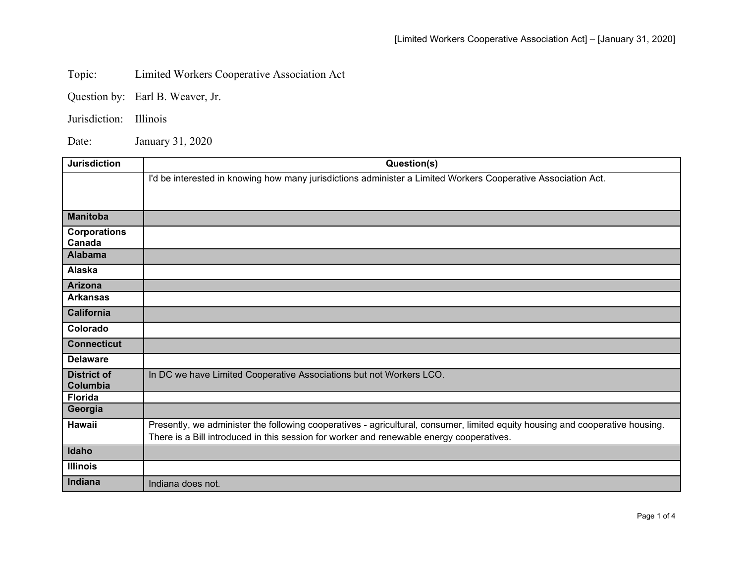Topic: Limited Workers Cooperative Association Act

Question by: Earl B. Weaver, Jr.

Jurisdiction: Illinois

Date: January 31, 2020

| <b>Jurisdiction</b> | Question(s)                                                                                                                   |
|---------------------|-------------------------------------------------------------------------------------------------------------------------------|
|                     | I'd be interested in knowing how many jurisdictions administer a Limited Workers Cooperative Association Act.                 |
|                     |                                                                                                                               |
|                     |                                                                                                                               |
| <b>Manitoba</b>     |                                                                                                                               |
| <b>Corporations</b> |                                                                                                                               |
| Canada              |                                                                                                                               |
| <b>Alabama</b>      |                                                                                                                               |
| Alaska              |                                                                                                                               |
| <b>Arizona</b>      |                                                                                                                               |
| <b>Arkansas</b>     |                                                                                                                               |
| <b>California</b>   |                                                                                                                               |
| Colorado            |                                                                                                                               |
| <b>Connecticut</b>  |                                                                                                                               |
| <b>Delaware</b>     |                                                                                                                               |
| <b>District of</b>  | In DC we have Limited Cooperative Associations but not Workers LCO.                                                           |
| Columbia            |                                                                                                                               |
| <b>Florida</b>      |                                                                                                                               |
| Georgia             |                                                                                                                               |
| Hawaii              | Presently, we administer the following cooperatives - agricultural, consumer, limited equity housing and cooperative housing. |
|                     | There is a Bill introduced in this session for worker and renewable energy cooperatives.                                      |
| Idaho               |                                                                                                                               |
| <b>Illinois</b>     |                                                                                                                               |
| Indiana             | Indiana does not.                                                                                                             |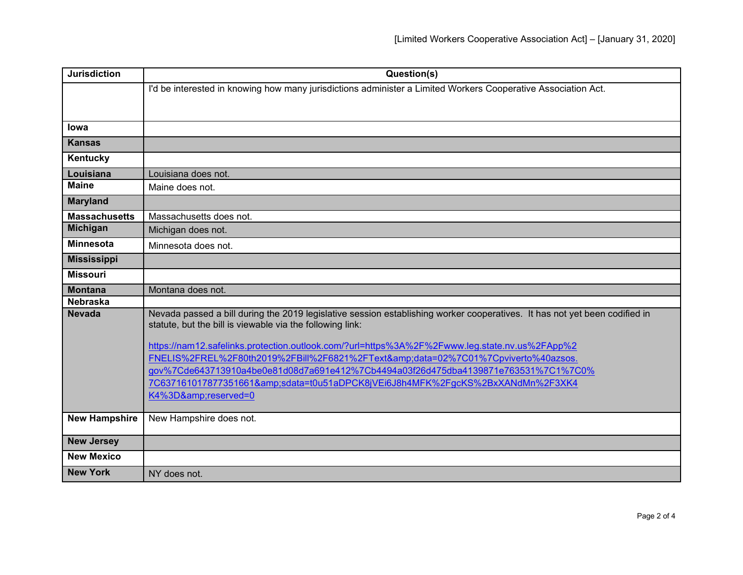| <b>Jurisdiction</b>  | Question(s)                                                                                                                                                                             |
|----------------------|-----------------------------------------------------------------------------------------------------------------------------------------------------------------------------------------|
|                      | I'd be interested in knowing how many jurisdictions administer a Limited Workers Cooperative Association Act.                                                                           |
|                      |                                                                                                                                                                                         |
| lowa                 |                                                                                                                                                                                         |
|                      |                                                                                                                                                                                         |
| <b>Kansas</b>        |                                                                                                                                                                                         |
| Kentucky             |                                                                                                                                                                                         |
| Louisiana            | Louisiana does not.                                                                                                                                                                     |
| <b>Maine</b>         | Maine does not.                                                                                                                                                                         |
| <b>Maryland</b>      |                                                                                                                                                                                         |
| <b>Massachusetts</b> | Massachusetts does not.                                                                                                                                                                 |
| <b>Michigan</b>      | Michigan does not.                                                                                                                                                                      |
| <b>Minnesota</b>     | Minnesota does not.                                                                                                                                                                     |
| <b>Mississippi</b>   |                                                                                                                                                                                         |
| <b>Missouri</b>      |                                                                                                                                                                                         |
| <b>Montana</b>       | Montana does not.                                                                                                                                                                       |
| Nebraska             |                                                                                                                                                                                         |
| <b>Nevada</b>        | Nevada passed a bill during the 2019 legislative session establishing worker cooperatives. It has not yet been codified in<br>statute, but the bill is viewable via the following link: |
|                      | https://nam12.safelinks.protection.outlook.com/?url=https%3A%2F%2Fwww.leg.state.nv.us%2FApp%2                                                                                           |
|                      | FNELIS%2FREL%2F80th2019%2FBill%2F6821%2FText&data=02%7C01%7Cpviverto%40azsos.                                                                                                           |
|                      | gov%7Cde643713910a4be0e81d08d7a691e412%7Cb4494a03f26d475dba4139871e763531%7C1%7C0%                                                                                                      |
|                      | 7C637161017877351661&sdata=t0u51aDPCK8jVEi6J8h4MFK%2FgcKS%2BxXANdMn%2F3XK4                                                                                                              |
|                      | K4%3D&reserved=0                                                                                                                                                                        |
| <b>New Hampshire</b> | New Hampshire does not.                                                                                                                                                                 |
|                      |                                                                                                                                                                                         |
| <b>New Jersey</b>    |                                                                                                                                                                                         |
| <b>New Mexico</b>    |                                                                                                                                                                                         |
| <b>New York</b>      | NY does not.                                                                                                                                                                            |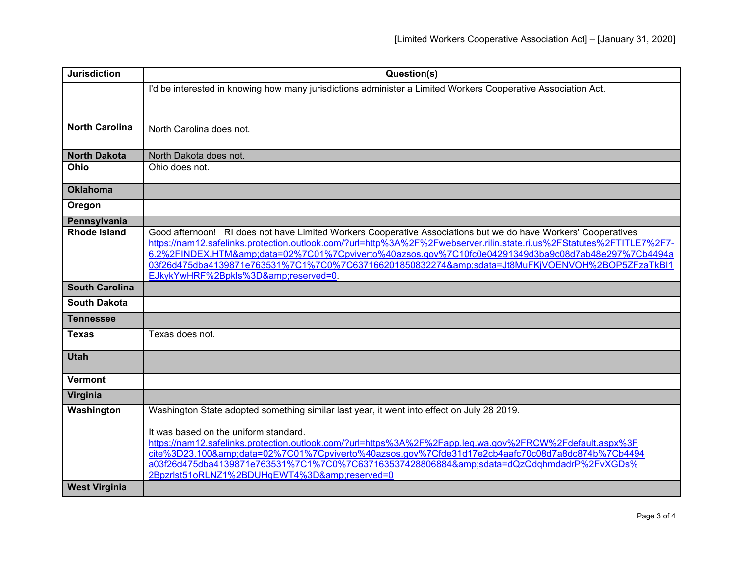| <b>Jurisdiction</b>   | Question(s)                                                                                                                                                                                                              |
|-----------------------|--------------------------------------------------------------------------------------------------------------------------------------------------------------------------------------------------------------------------|
|                       | I'd be interested in knowing how many jurisdictions administer a Limited Workers Cooperative Association Act.                                                                                                            |
|                       |                                                                                                                                                                                                                          |
| <b>North Carolina</b> |                                                                                                                                                                                                                          |
|                       | North Carolina does not.                                                                                                                                                                                                 |
| <b>North Dakota</b>   | North Dakota does not.                                                                                                                                                                                                   |
| Ohio                  | Ohio does not.                                                                                                                                                                                                           |
| <b>Oklahoma</b>       |                                                                                                                                                                                                                          |
| Oregon                |                                                                                                                                                                                                                          |
| Pennsylvania          |                                                                                                                                                                                                                          |
| <b>Rhode Island</b>   | Good afternoon! RI does not have Limited Workers Cooperative Associations but we do have Workers' Cooperatives                                                                                                           |
|                       | https://nam12.safelinks.protection.outlook.com/?url=http%3A%2F%2Fwebserver.rilin.state.ri.us%2FStatutes%2FTITLE7%2F7-<br>6.2%2FINDEX.HTM&data=02%7C01%7Cpviverto%40azsos.gov%7C10fc0e04291349d3ba9c08d7ab48e297%7Cb4494a |
|                       | 03f26d475dba4139871e763531%7C1%7C0%7C637166201850832274&sdata=Jt8MuFKjVOENVOH%2BOP5ZFzaTkBl1                                                                                                                             |
|                       | EJkykYwHRF%2Bpkls%3D&reserved=0                                                                                                                                                                                          |
| <b>South Carolina</b> |                                                                                                                                                                                                                          |
| <b>South Dakota</b>   |                                                                                                                                                                                                                          |
| <b>Tennessee</b>      |                                                                                                                                                                                                                          |
| <b>Texas</b>          | Texas does not.                                                                                                                                                                                                          |
| <b>Utah</b>           |                                                                                                                                                                                                                          |
| <b>Vermont</b>        |                                                                                                                                                                                                                          |
| Virginia              |                                                                                                                                                                                                                          |
| Washington            | Washington State adopted something similar last year, it went into effect on July 28 2019.                                                                                                                               |
|                       | It was based on the uniform standard.                                                                                                                                                                                    |
|                       | https://nam12.safelinks.protection.outlook.com/?url=https%3A%2F%2Fapp.leg.wa.gov%2FRCW%2Fdefault.aspx%3F                                                                                                                 |
|                       | cite%3D23.100&data=02%7C01%7Cpviverto%40azsos.gov%7Cfde31d17e2cb4aafc70c08d7a8dc874b%7Cb4494                                                                                                                             |
|                       | a03f26d475dba4139871e763531%7C1%7C0%7C637163537428806884&sdata=dQzQdqhmdadrP%2FvXGDs%                                                                                                                                    |
|                       | 2Bpzrlst51oRLNZ1%2BDUHqEWT4%3D&reserved=0                                                                                                                                                                                |
| <b>West Virginia</b>  |                                                                                                                                                                                                                          |